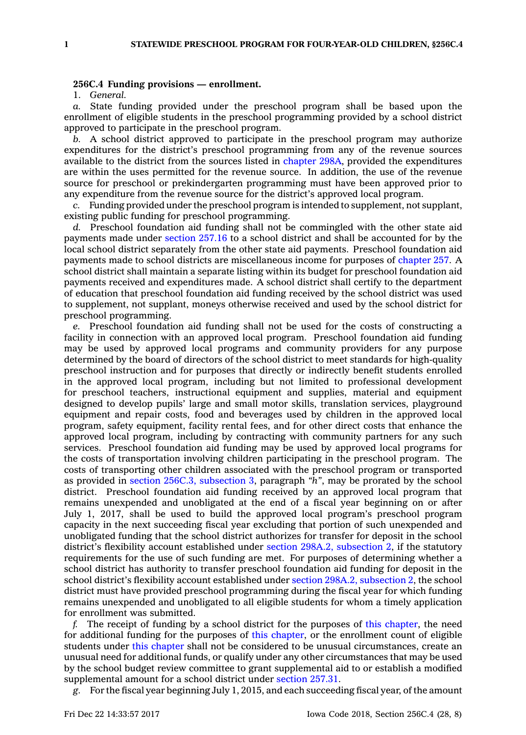## **256C.4 Funding provisions — enrollment.**

1. *General.*

*a.* State funding provided under the preschool program shall be based upon the enrollment of eligible students in the preschool programming provided by <sup>a</sup> school district approved to participate in the preschool program.

*b.* A school district approved to participate in the preschool program may authorize expenditures for the district's preschool programming from any of the revenue sources available to the district from the sources listed in [chapter](https://www.legis.iowa.gov/docs/code//298A.pdf) 298A, provided the expenditures are within the uses permitted for the revenue source. In addition, the use of the revenue source for preschool or prekindergarten programming must have been approved prior to any expenditure from the revenue source for the district's approved local program.

*c.* Funding provided under the preschool program is intended to supplement, not supplant, existing public funding for preschool programming.

*d.* Preschool foundation aid funding shall not be commingled with the other state aid payments made under [section](https://www.legis.iowa.gov/docs/code/257.16.pdf) 257.16 to <sup>a</sup> school district and shall be accounted for by the local school district separately from the other state aid payments. Preschool foundation aid payments made to school districts are miscellaneous income for purposes of [chapter](https://www.legis.iowa.gov/docs/code//257.pdf) 257. A school district shall maintain <sup>a</sup> separate listing within its budget for preschool foundation aid payments received and expenditures made. A school district shall certify to the department of education that preschool foundation aid funding received by the school district was used to supplement, not supplant, moneys otherwise received and used by the school district for preschool programming.

*e.* Preschool foundation aid funding shall not be used for the costs of constructing <sup>a</sup> facility in connection with an approved local program. Preschool foundation aid funding may be used by approved local programs and community providers for any purpose determined by the board of directors of the school district to meet standards for high-quality preschool instruction and for purposes that directly or indirectly benefit students enrolled in the approved local program, including but not limited to professional development for preschool teachers, instructional equipment and supplies, material and equipment designed to develop pupils' large and small motor skills, translation services, playground equipment and repair costs, food and beverages used by children in the approved local program, safety equipment, facility rental fees, and for other direct costs that enhance the approved local program, including by contracting with community partners for any such services. Preschool foundation aid funding may be used by approved local programs for the costs of transportation involving children participating in the preschool program. The costs of transporting other children associated with the preschool program or transported as provided in section 256C.3, [subsection](https://www.legis.iowa.gov/docs/code/256C.3.pdf) 3, paragraph *"h"*, may be prorated by the school district. Preschool foundation aid funding received by an approved local program that remains unexpended and unobligated at the end of <sup>a</sup> fiscal year beginning on or after July 1, 2017, shall be used to build the approved local program's preschool program capacity in the next succeeding fiscal year excluding that portion of such unexpended and unobligated funding that the school district authorizes for transfer for deposit in the school district's flexibility account established under section 298A.2, [subsection](https://www.legis.iowa.gov/docs/code/298A.2.pdf) 2, if the statutory requirements for the use of such funding are met. For purposes of determining whether <sup>a</sup> school district has authority to transfer preschool foundation aid funding for deposit in the school district's flexibility account established under section 298A.2, [subsection](https://www.legis.iowa.gov/docs/code/298A.2.pdf) 2, the school district must have provided preschool programming during the fiscal year for which funding remains unexpended and unobligated to all eligible students for whom <sup>a</sup> timely application for enrollment was submitted.

*f.* The receipt of funding by <sup>a</sup> school district for the purposes of this [chapter](https://www.legis.iowa.gov/docs/code//256C.pdf), the need for additional funding for the purposes of this [chapter](https://www.legis.iowa.gov/docs/code//256C.pdf), or the enrollment count of eligible students under this [chapter](https://www.legis.iowa.gov/docs/code//256C.pdf) shall not be considered to be unusual circumstances, create an unusual need for additional funds, or qualify under any other circumstances that may be used by the school budget review committee to grant supplemental aid to or establish <sup>a</sup> modified supplemental amount for <sup>a</sup> school district under [section](https://www.legis.iowa.gov/docs/code/257.31.pdf) 257.31.

*g.* For the fiscal year beginning July 1, 2015, and each succeeding fiscal year, of the amount